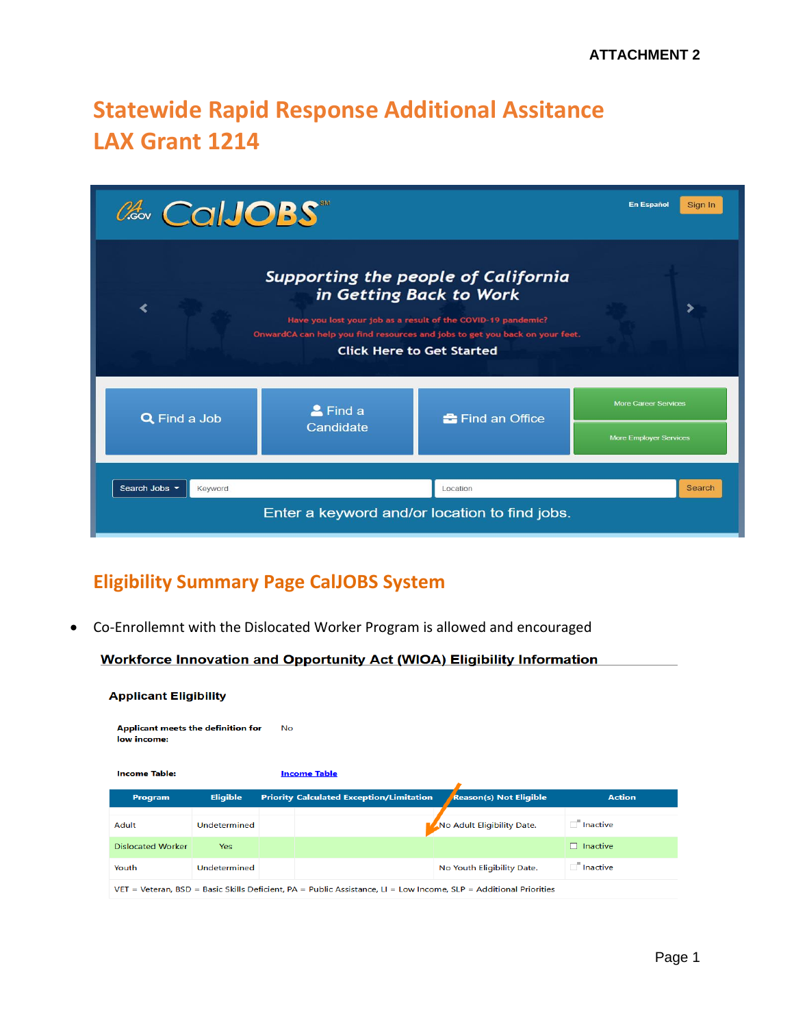# **Statewide Rapid Response Additional Assitance LAX Grant 1214**

| ColJOBS                  |                                      |                                                                                                                                                                                                                                                   | <b>En Español</b><br>Sign In  |
|--------------------------|--------------------------------------|---------------------------------------------------------------------------------------------------------------------------------------------------------------------------------------------------------------------------------------------------|-------------------------------|
|                          |                                      | Supporting the people of California<br>in Getting Back to Work<br>Have you lost your job as a result of the COVID-19 pandemic?<br>OnwardCA can help you find resources and jobs to get you back on your feet.<br><b>Click Here to Get Started</b> | ⋟                             |
| <b>Q</b> Find a Job      | $\blacktriangle$ Find a<br>Candidate | <b>E</b> Find an Office                                                                                                                                                                                                                           | <b>More Career Services</b>   |
|                          |                                      |                                                                                                                                                                                                                                                   | <b>More Employer Services</b> |
| Search Jobs *<br>Keyword |                                      | Location                                                                                                                                                                                                                                          | Search                        |
|                          |                                      | Enter a keyword and/or location to find jobs.                                                                                                                                                                                                     |                               |

#### **Eligibility Summary Page CalJOBS System**

• Co-Enrollemnt with the Dislocated Worker Program is allowed and encouraged

**Workforce Innovation and Opportunity Act (WIOA) Eligibility Information** 

|  | <b>Applicant Eligibility</b> |  |
|--|------------------------------|--|
|  |                              |  |

| Applicant meets the definition for<br>low income: |                 | No. |                                                                                                                     |                               |                 |
|---------------------------------------------------|-----------------|-----|---------------------------------------------------------------------------------------------------------------------|-------------------------------|-----------------|
| <b>Income Table:</b>                              |                 |     | <b>Income Table</b>                                                                                                 |                               |                 |
| Program                                           | <b>Eligible</b> |     | <b>Priority Calculated Exception/Limitation</b>                                                                     | <b>Reason(s) Not Eligible</b> | <b>Action</b>   |
| Adult                                             | Undetermined    |     |                                                                                                                     | No Adult Eligibility Date.    | $\Box$ Inactive |
| <b>Dislocated Worker</b>                          | <b>Yes</b>      |     |                                                                                                                     |                               | $\Box$ Inactive |
| Youth                                             | Undetermined    |     |                                                                                                                     | No Youth Eligibility Date.    | $\Box$ Inactive |
|                                                   |                 |     | $VET$ = Veteran, BSD = Basic Skills Deficient, PA = Public Assistance, LI = Low Income, SLP = Additional Priorities |                               |                 |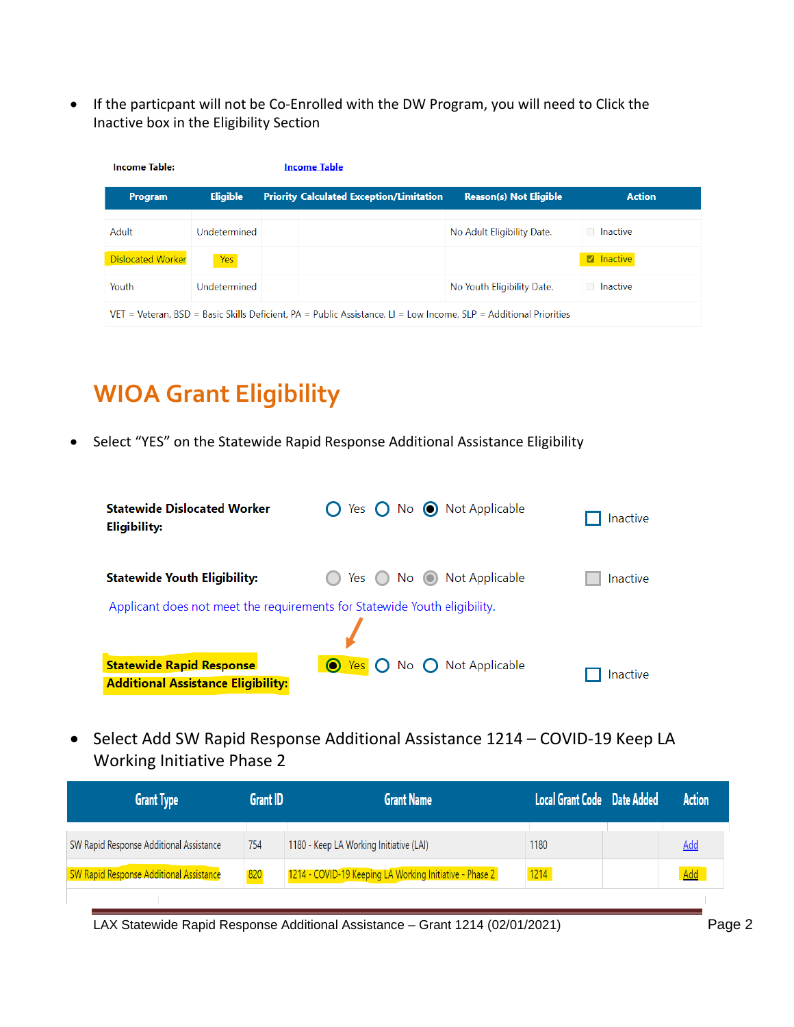• If the particpant will not be Co-Enrolled with the DW Program, you will need to Click the Inactive box in the Eligibility Section

| <b>Income Table:</b>     |                 | <b>Income Table</b>                                                                                               |                               |                   |
|--------------------------|-----------------|-------------------------------------------------------------------------------------------------------------------|-------------------------------|-------------------|
| Program                  | <b>Eligible</b> | <b>Priority Calculated Exception/Limitation</b>                                                                   | <b>Reason(s) Not Eligible</b> | <b>Action</b>     |
| Adult                    | Undetermined    |                                                                                                                   | No Adult Eligibility Date.    | □ Inactive        |
| <b>Dislocated Worker</b> | Yes             |                                                                                                                   |                               | <b>Z</b> Inactive |
| Youth                    | Undetermined    |                                                                                                                   | No Youth Eligibility Date.    | □ Inactive        |
|                          |                 | VET = Veteran, BSD = Basic Skills Deficient, PA = Public Assistance, LI = Low Income, SLP = Additional Priorities |                               |                   |

# **WIOA Grant Eligibility**

• Select "YES" on the Statewide Rapid Response Additional Assistance Eligibility

| <b>Statewide Dislocated Worker</b><br><b>Eligibility:</b>                    | Yes $\bigcap$ No $\bigcirc$ Not Applicable               | <b>Inactive</b> |
|------------------------------------------------------------------------------|----------------------------------------------------------|-----------------|
| <b>Statewide Youth Eligibility:</b>                                          | Not Applicable<br>Yes<br>$No$ $\odot$                    | Inactive        |
| Applicant does not meet the requirements for Statewide Youth eligibility.    |                                                          |                 |
| <b>Statewide Rapid Response</b><br><b>Additional Assistance Eligibility:</b> | No $\bigcap$ Not Applicable<br>$\bigcirc$ Yes $\bigcirc$ | Inactive        |

• Select Add SW Rapid Response Additional Assistance 1214 – COVID-19 Keep LA Working Initiative Phase 2

| <b>Grant Type</b>                       | Grant ID | <b>Grant Name</b>                                       | Local Grant Code Date Added | <b>Action</b> |
|-----------------------------------------|----------|---------------------------------------------------------|-----------------------------|---------------|
| SW Rapid Response Additional Assistance | 754      | 1180 - Keep LA Working Initiative (LAI)                 | 1180                        | <b>Add</b>    |
| SW Rapid Response Additional Assistance | 820      | 1214 - COVID-19 Keeping LA Working Initiative - Phase 2 | 1214                        | Add           |
|                                         |          |                                                         |                             |               |

LAX Statewide Rapid Response Additional Assistance - Grant 1214 (02/01/2021) Page 2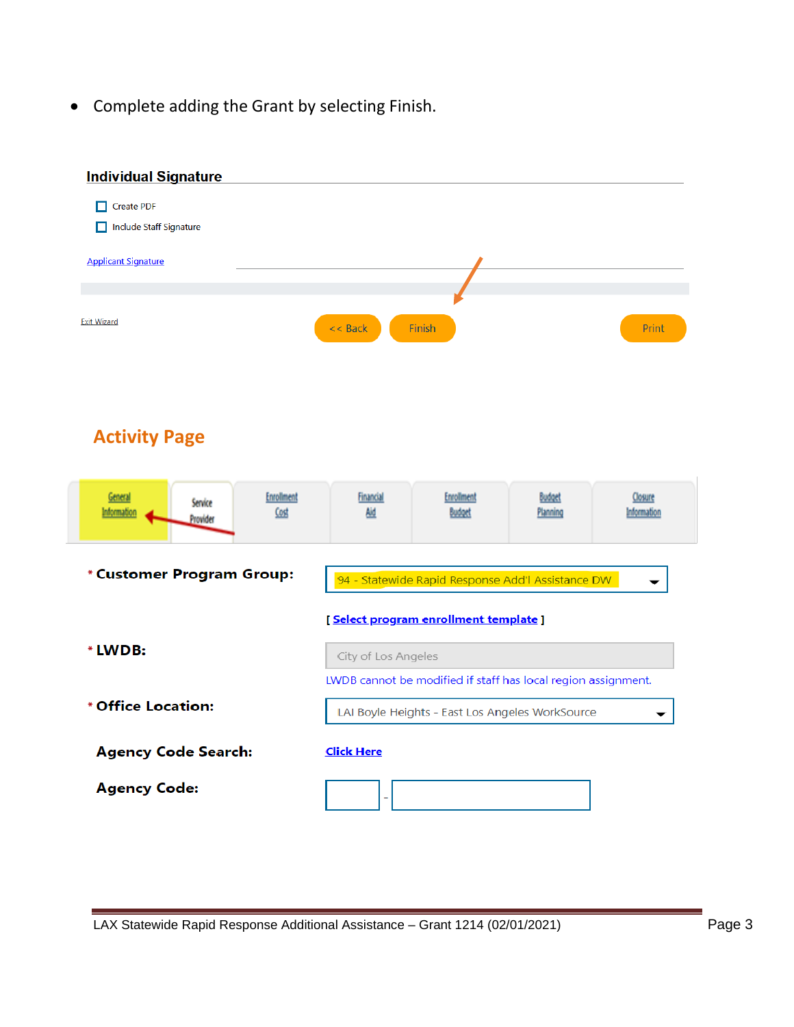• Complete adding the Grant by selecting Finish.

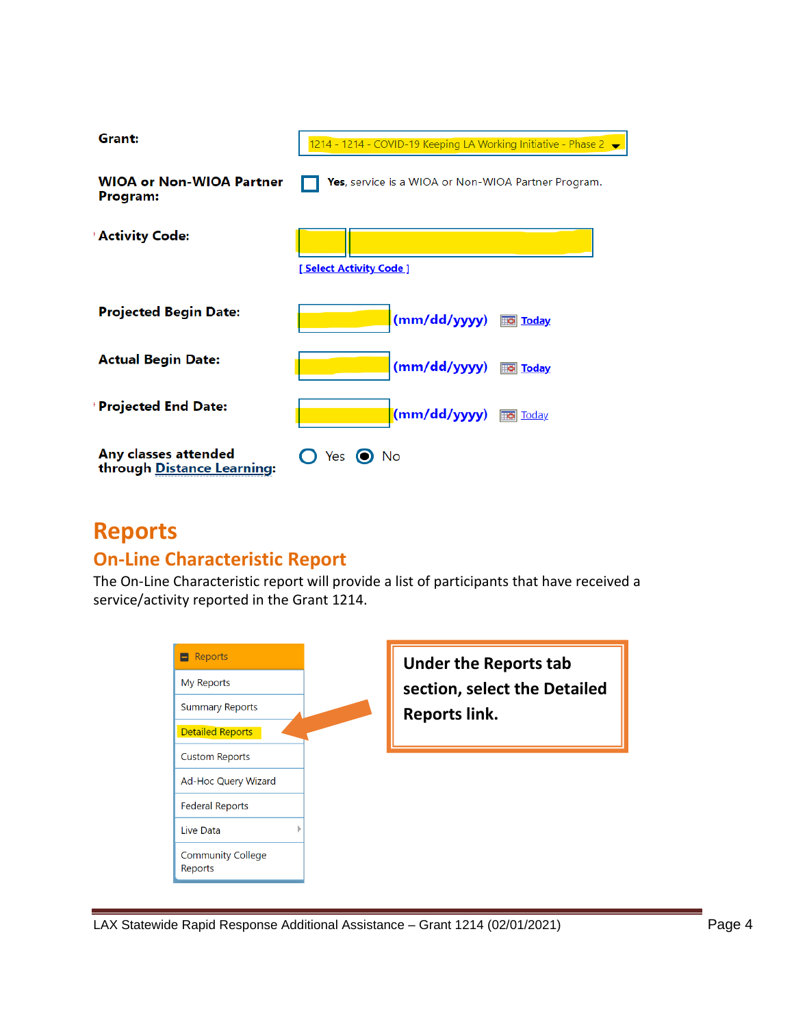

## **Reports**

#### **On-Line Characteristic Report**

The On-Line Characteristic report will provide a list of participants that have received a service/activity reported in the Grant 1214.

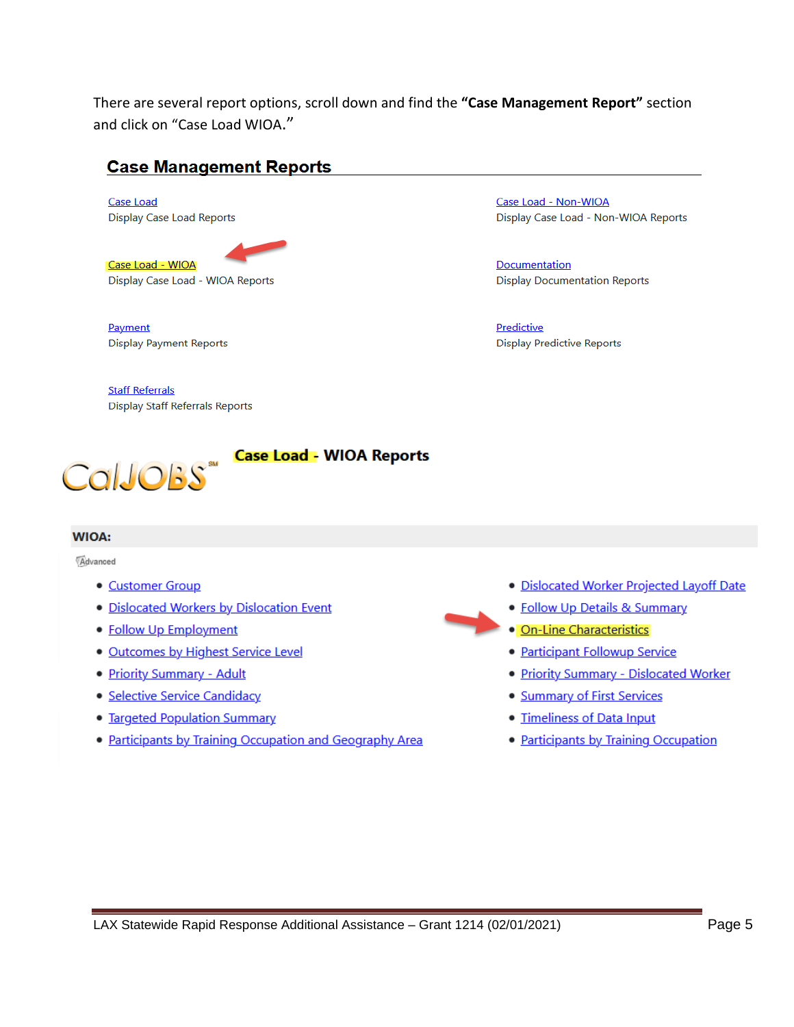There are several report options, scroll down and find the **"Case Management Report"** section and click on "Case Load WIOA."

#### **Case Management Reports**

**Case Load Display Case Load Reports** 

Case Load - WIOA Display Case Load - WIOA Reports

Payment **Display Payment Reports** 

**Staff Referrals Display Staff Referrals Reports** 

CalJOBS"

**Case Load - WIOA Reports** 

#### **WIOA:**

Advanced

- Customer Group
- · Dislocated Workers by Dislocation Event
- Follow Up Employment
- · Outcomes by Highest Service Level
- Priority Summary Adult
- · Selective Service Candidacy
- Targeted Population Summary
- Participants by Training Occupation and Geography Area

Case Load - Non-WIOA Display Case Load - Non-WIOA Reports

Documentation **Display Documentation Reports** 

Predictive **Display Predictive Reports** 

- · Dislocated Worker Projected Layoff Date
- Follow Up Details & Summary
- · On-Line Characteristics
- Participant Followup Service
- Priority Summary Dislocated Worker
- Summary of First Services
- · Timeliness of Data Input
- Participants by Training Occupation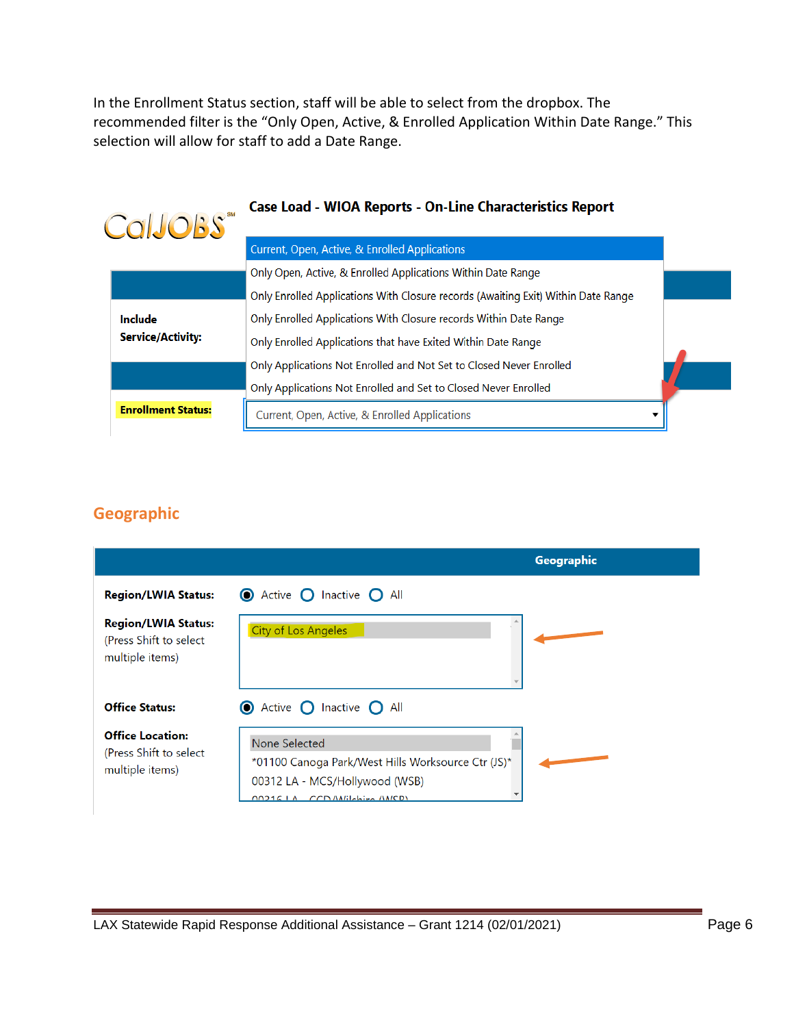In the Enrollment Status section, staff will be able to select from the dropbox. The recommended filter is the "Only Open, Active, & Enrolled Application Within Date Range." This selection will allow for staff to add a Date Range.

| CalJOBS" |                           | <b>Case Load - WIOA Reports - On-Line Characteristics Report</b>                  |  |
|----------|---------------------------|-----------------------------------------------------------------------------------|--|
|          |                           | Current, Open, Active, & Enrolled Applications                                    |  |
|          |                           | Only Open, Active, & Enrolled Applications Within Date Range                      |  |
|          |                           | Only Enrolled Applications With Closure records (Awaiting Exit) Within Date Range |  |
|          | Include                   | Only Enrolled Applications With Closure records Within Date Range                 |  |
|          | <b>Service/Activity:</b>  | Only Enrolled Applications that have Exited Within Date Range                     |  |
|          |                           | Only Applications Not Enrolled and Not Set to Closed Never Enrolled               |  |
|          |                           | Only Applications Not Enrolled and Set to Closed Never Enrolled                   |  |
|          | <b>Enrollment Status:</b> | Current, Open, Active, & Enrolled Applications                                    |  |
|          |                           |                                                                                   |  |

#### **Geographic**

|                                                                          |                                                                                                                                                   | Geographic |
|--------------------------------------------------------------------------|---------------------------------------------------------------------------------------------------------------------------------------------------|------------|
| <b>Region/LWIA Status:</b>                                               | <b>O</b> Active <b>O</b> Inactive <b>O</b> All                                                                                                    |            |
| <b>Region/LWIA Status:</b><br>(Press Shift to select)<br>multiple items) | <b>City of Los Angeles</b>                                                                                                                        |            |
| <b>Office Status:</b>                                                    | <b>O</b> Active <b>O</b> Inactive <b>O</b> All                                                                                                    |            |
| <b>Office Location:</b><br>(Press Shift to select)<br>multiple items)    | None Selected<br>*01100 Canoga Park/West Hills Worksource Ctr (JS)*<br>00312 LA - MCS/Hollywood (WSB)<br>CCDMilchi <sub>in</sub> MICDI<br>002161A |            |